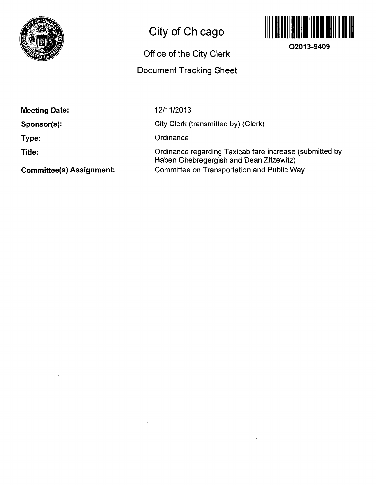

## **City of Chicago**

## **Office of the City Clerk**

## **Document Tracking Sheet**



**O2013-9409** 

**Meeting Date:** 

**Sponsor(s):** 

**Type:** 

**Title:** 

**Commlttee(s) Assignment:** 

12/11/2013

City Clerk (transmitted by) (Clerk)

**Ordinance** 

Ordinance regarding Taxicab fare increase (submitted by Haben Ghebregergish and Dean Zitzewitz) Committee on Transportation and Public Way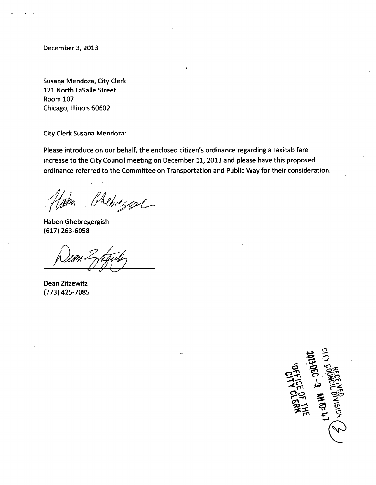December 3, 2013

Susana Mendoza, City Clerk 121 North LaSalle Street Room 107 Chicago, Illinois 60602

City Clerk Susana Mendoza:

Please introduce on our behalf, the enclosed citizen's ordinance regarding a taxicab fare increase to the City Council meeting on December 11, 2013 and please have this proposed ordinance referred to the Committee on Transportation and Public Way for their consideration.

hebregge

Haben Ghebregergish (617) 263-6058

Dean Zitzewitz (773) 425-7085

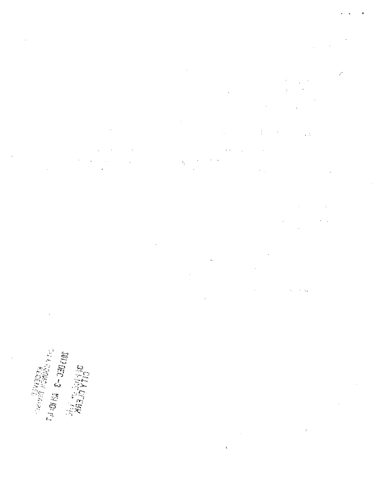$\frac{1}{2}$  $\frac{1}{2}$  ,  $\frac{1}{2}$ 

 $\frac{1}{2}$  $\mathcal{V}^{(1)}$ 

 $\label{eq:2} \frac{1}{2} \sum_{i=1}^n \frac{1}{2} \sum_{j=1}^n \frac{1}{2} \sum_{j=1}^n \frac{1}{2} \sum_{j=1}^n \frac{1}{2} \sum_{j=1}^n \frac{1}{2} \sum_{j=1}^n \frac{1}{2} \sum_{j=1}^n \frac{1}{2} \sum_{j=1}^n \frac{1}{2} \sum_{j=1}^n \frac{1}{2} \sum_{j=1}^n \frac{1}{2} \sum_{j=1}^n \frac{1}{2} \sum_{j=1}^n \frac{1}{2} \sum_{j=1}^n \frac{1}{$  $\frac{1}{2}$  $\hat{\vec{r}}$ 

 $\mathbb{R}^2$  $\mathcal{A}_{\mathcal{A}}$ 

 $\frac{1}{2}$  $\label{eq:2} \mathcal{F}_{\mathcal{G}} = \mathcal{F}^{\dagger} \mathcal{F}_{\mathcal{G}}$ 



 $\frac{1}{2}$  $\sim$ 

 $\hat{\bar{\lambda}}$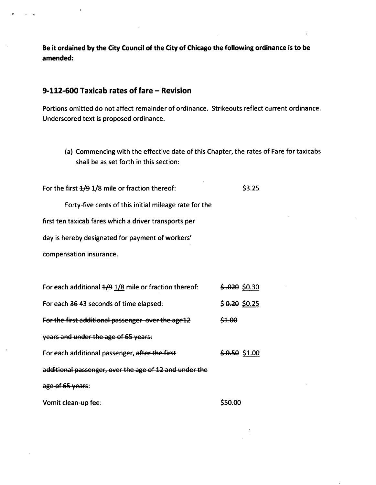**Be It ordained by the City Council of the City of Chicago the following ordinance is to be amended:** 

## **9-112-600 Taxicab rates of fare - Revision**

Portions omitted do not affect remainder of ordinance. Strikeouts reflect current ordinance. Underscored text is proposed ordinance.

(a) Commencing with the effective date of this Chapter, the rates of Fare for taxicabs shall be as set forth in this section:

<sup>1</sup>

For the first  $\frac{1}{9}$  1/8 mile or fraction thereof:  $\frac{53.25}{9}$ 

Forty-five cents of this initial mileage rate for the

first ten taxicab fares which a driver transports per

day is hereby designated for payment of workers'

compensation insurance.

| For each additional $\frac{1}{9}$ $\frac{1}{8}$ mile or fraction thereof: | \$.020\$50.30  |
|---------------------------------------------------------------------------|----------------|
| For each 36 43 seconds of time elapsed:                                   | \$0.20\$50.25  |
| For the first additional passenger over the age12                         | <b>S1.00</b>   |
| years and under the age of 65 years.                                      |                |
| For each additional passenger, after the first                            | $$0.50$ \$1.00 |
| additional passenger, over the age of 12 and under the                    |                |
| age of 65 years:                                                          |                |
| Vomit clean-up fee:                                                       | \$50.00        |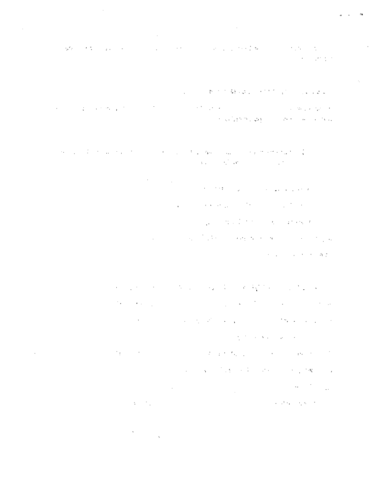and the state of the state of the state of the state of the state of the state of the state of the state of the  $\mathcal{L}(\mathcal{L})$  , and  $\mathcal{L}(\mathcal{L})$  and  $\mathcal{L}(\mathcal{L})$ 

○ 1000 1000 新たて数の2000 行動を受け、1000 2000

and the companion of the companion of the companion of the companion of the companion of the companion  $\label{eq:3.1} \mathcal{L}(\mathcal{L}(\mathcal{L}))=\mathcal{L}(\mathcal{L}(\mathcal{L}(\mathcal{L}(\mathcal{L}(\mathcal{L}(\mathcal{L}(\mathcal{L}(\mathcal{L}(\mathcal{L}(\mathcal{L}(\mathcal{L}(\mathcal{L}(\mathcal{L}(\mathcal{L}(\mathcal{L}(\mathcal{L}(\mathcal{L}(\mathcal{L}(\mathcal{L}(\mathcal{L}(\mathcal{L}(\mathcal{L}(\mathcal{L}(\mathcal{L}(\mathcal{L}(\mathcal{L}(\mathcal{L}(\mathcal{L}(\mathcal{L}(\mathcal{L}(\mathcal{L}(\$ 

. So that is the matrix of the same contribution of the power compact of the state that  $\mathcal{L}(\mathcal{L})$ and a series of the contract of the con-

> a de la companya de la companya de la companya de la companya de la companya de la companya de la companya de<br>La companya de la companya de la companya de la companya de la companya de la companya de la companya de la co  $\mathcal{L}^{\mathcal{L}}$  and  $\mathcal{L}^{\mathcal{L}}$  are the second conditions of the second conditions of  $\mathcal{L}^{\mathcal{L}}$

> > $\mathcal{L}^{\mathcal{L}}(\mathcal{L}^{\mathcal{L}})$  , where  $\mathcal{L}^{\mathcal{L}}(\mathcal{L}^{\mathcal{L}})$  and  $\mathcal{L}^{\mathcal{L}}(\mathcal{L}^{\mathcal{L}})$  , and the properties

where  $\alpha$  is a simple polarization of the properties of the simple polarization of the properties of the  $\alpha$ The control of the control and

where the contribution of the contribution of  $\mathcal{H}^{\alpha}$  for the contribution of  $\mathcal{H}^{\alpha}$  $\mathcal{M}(\mathcal{C}) = \{ \mathcal{M}(\mathcal{C}) \mid \mathcal{C} \in \mathcal{C} \} \text{ and } \mathcal{C} = \{ \mathcal{C} \mid \mathcal{C} \in \mathcal{C} \} \text{ and } \mathcal{C} = \{ \mathcal{C} \mid \mathcal{C} \in \mathcal{C} \} \text{ and } \mathcal{C} = \{ \mathcal{C} \mid \mathcal{C} \in \mathcal{C} \} \text{ and } \mathcal{C} = \{ \mathcal{C} \mid \mathcal{C} \in \mathcal{C} \} \text{ and } \mathcal{C} = \{ \mathcal{C} \mid \$ the contract of the contract of the contract of the contract of the contract of the  $\mathcal{L}(\mathcal{L}(\mathcal{L}))$  and  $\mathcal{L}(\mathcal{L}(\mathcal{L}))$  is a function of the following  $\mathcal{L}(\mathcal{L})$ the control of the control of the problem of the control of the control of the

 $\label{eq:2.1} \mathcal{L}_{\mathcal{A}}(\mathcal{A})=\mathcal{L}_{\mathcal{A}}(\mathcal{A})=\mathcal{L}_{\mathcal{A}}(\mathcal{A})=\mathcal{L}_{\mathcal{A}}(\mathcal{A})=\mathcal{L}_{\mathcal{A}}(\mathcal{A})=\mathcal{L}_{\mathcal{A}}(\mathcal{A})=\mathcal{L}_{\mathcal{A}}(\mathcal{A})=\mathcal{L}_{\mathcal{A}}(\mathcal{A})$  $\mathcal{L}(\mathcal{L}^{\mathcal{L}}_{\mathcal{L}})$  and the contribution of the contribution of the contribution of the contribution of  $\mathcal{L}^{\mathcal{L}}$ **这个人都是不是一个人的人,我们也不是不是不是不是不是不是不是** 

 $\mathcal{L}(\mathcal{A})$  and  $\mathcal{L}(\mathcal{A})$ 

 $\label{eq:2.1} \frac{1}{\sqrt{2\pi}}\sum_{i=1}^N\frac{1}{\sqrt{2\pi}}\sum_{i=1}^N\frac{1}{\sqrt{2\pi}}\sum_{i=1}^N\frac{1}{\sqrt{2\pi}}\sum_{i=1}^N\frac{1}{\sqrt{2\pi}}\sum_{i=1}^N\frac{1}{\sqrt{2\pi}}\sum_{i=1}^N\frac{1}{\sqrt{2\pi}}\sum_{i=1}^N\frac{1}{\sqrt{2\pi}}\sum_{i=1}^N\frac{1}{\sqrt{2\pi}}\sum_{i=1}^N\frac{1}{\sqrt{2\pi}}\sum_{i=1}^N\$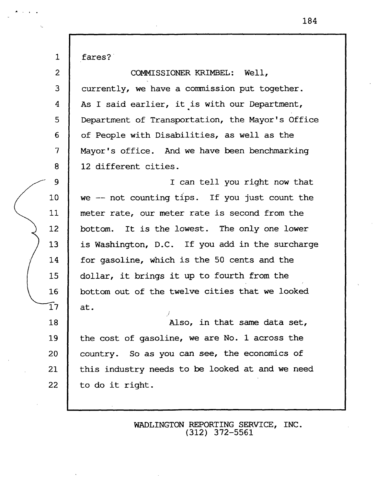**1 fares?** 

**2 COMMISSIONER KRIMBEL: Well, 3 currently, we have a cornmission put together. 4** As I said earlier, it is with our Department, **5 Department of Transportation, the Mayor's Office 6 of People with Disabilities, as well as the 7 Mayor's office. And we have been benchmarking 8 12 different cities . 9 I can tel l you right now that**  10 | we -- not counting tips. If you just count the 11 meter rate, our meter rate is second from the 12 **bottom.** It is the lowest. The only one lower **13 i s Washington, D.C. I f you add in the surcharge**  14 **for gasoline, which is the 50 cents and the 15 dollar, i t brings i t up to fourth from the**  16 **bottom out of the twelve cities that we looked T7 at. 18 Also, in that same data set, 19 the cost of gasoline, we are No. 1 across the 20 country. So as you can see, the economics of 21 this industry needs to be looked at and we need**  22 to do it right.

> **WADLINGTON REPORTING SERVICE, INC. (312) 372-5561**